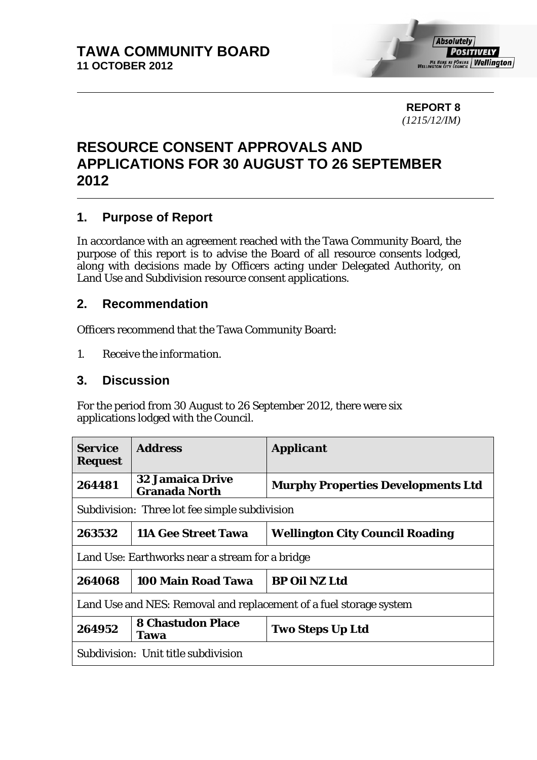

**REPORT 8**  *(1215/12/IM)* 

# **RESOURCE CONSENT APPROVALS AND APPLICATIONS FOR 30 AUGUST TO 26 SEPTEMBER 2012**

## **1. Purpose of Report**

In accordance with an agreement reached with the Tawa Community Board, the purpose of this report is to advise the Board of all resource consents lodged, along with decisions made by Officers acting under Delegated Authority, on Land Use and Subdivision resource consent applications.

### **2. Recommendation**

Officers recommend that the Tawa Community Board:

*1. Receive the information.* 

#### **3. Discussion**

For the period from 30 August to 26 September 2012, there were six applications lodged with the Council.

| <b>Service</b><br><b>Request</b>                                   | <i><b>Address</b></i>                           | <i><b>Applicant</b></i>                   |  |
|--------------------------------------------------------------------|-------------------------------------------------|-------------------------------------------|--|
| 264481                                                             | <b>32 Jamaica Drive</b><br><b>Granada North</b> | <b>Murphy Properties Developments Ltd</b> |  |
| Subdivision: Three lot fee simple subdivision                      |                                                 |                                           |  |
| 263532                                                             | <b>11A Gee Street Tawa</b>                      | <b>Wellington City Council Roading</b>    |  |
| Land Use: Earthworks near a stream for a bridge                    |                                                 |                                           |  |
| 264068                                                             | 100 Main Road Tawa                              | <b>BP Oil NZ Ltd</b>                      |  |
| Land Use and NES: Removal and replacement of a fuel storage system |                                                 |                                           |  |
| 264952                                                             | <b>8 Chastudon Place</b><br>Tawa                | <b>Two Steps Up Ltd</b>                   |  |
| Subdivision: Unit title subdivision                                |                                                 |                                           |  |